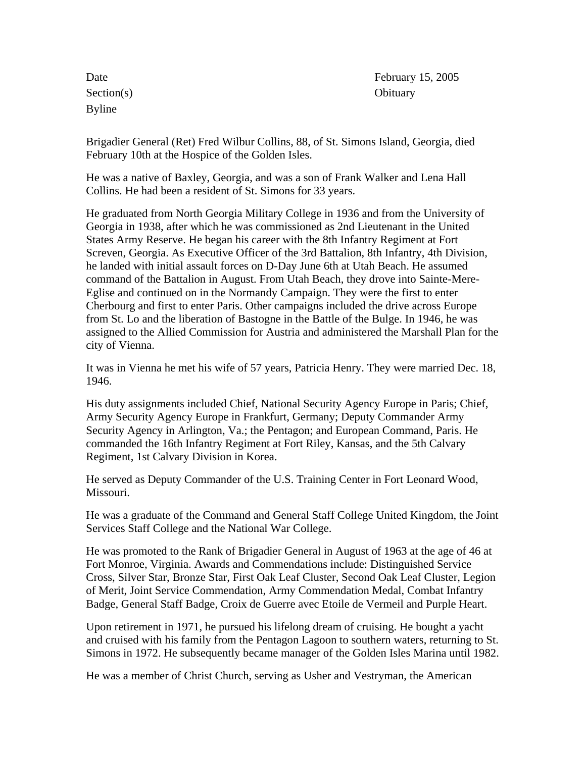Section(s) Obituary Byline

Date February 15, 2005

Brigadier General (Ret) Fred Wilbur Collins, 88, of St. Simons Island, Georgia, died February 10th at the Hospice of the Golden Isles.

He was a native of Baxley, Georgia, and was a son of Frank Walker and Lena Hall Collins. He had been a resident of St. Simons for 33 years.

He graduated from North Georgia Military College in 1936 and from the University of Georgia in 1938, after which he was commissioned as 2nd Lieutenant in the United States Army Reserve. He began his career with the 8th Infantry Regiment at Fort Screven, Georgia. As Executive Officer of the 3rd Battalion, 8th Infantry, 4th Division, he landed with initial assault forces on D-Day June 6th at Utah Beach. He assumed command of the Battalion in August. From Utah Beach, they drove into Sainte-Mere-Eglise and continued on in the Normandy Campaign. They were the first to enter Cherbourg and first to enter Paris. Other campaigns included the drive across Europe from St. Lo and the liberation of Bastogne in the Battle of the Bulge. In 1946, he was assigned to the Allied Commission for Austria and administered the Marshall Plan for the city of Vienna.

It was in Vienna he met his wife of 57 years, Patricia Henry. They were married Dec. 18, 1946.

His duty assignments included Chief, National Security Agency Europe in Paris; Chief, Army Security Agency Europe in Frankfurt, Germany; Deputy Commander Army Security Agency in Arlington, Va.; the Pentagon; and European Command, Paris. He commanded the 16th Infantry Regiment at Fort Riley, Kansas, and the 5th Calvary Regiment, 1st Calvary Division in Korea.

He served as Deputy Commander of the U.S. Training Center in Fort Leonard Wood, Missouri.

He was a graduate of the Command and General Staff College United Kingdom, the Joint Services Staff College and the National War College.

He was promoted to the Rank of Brigadier General in August of 1963 at the age of 46 at Fort Monroe, Virginia. Awards and Commendations include: Distinguished Service Cross, Silver Star, Bronze Star, First Oak Leaf Cluster, Second Oak Leaf Cluster, Legion of Merit, Joint Service Commendation, Army Commendation Medal, Combat Infantry Badge, General Staff Badge, Croix de Guerre avec Etoile de Vermeil and Purple Heart.

Upon retirement in 1971, he pursued his lifelong dream of cruising. He bought a yacht and cruised with his family from the Pentagon Lagoon to southern waters, returning to St. Simons in 1972. He subsequently became manager of the Golden Isles Marina until 1982.

He was a member of Christ Church, serving as Usher and Vestryman, the American